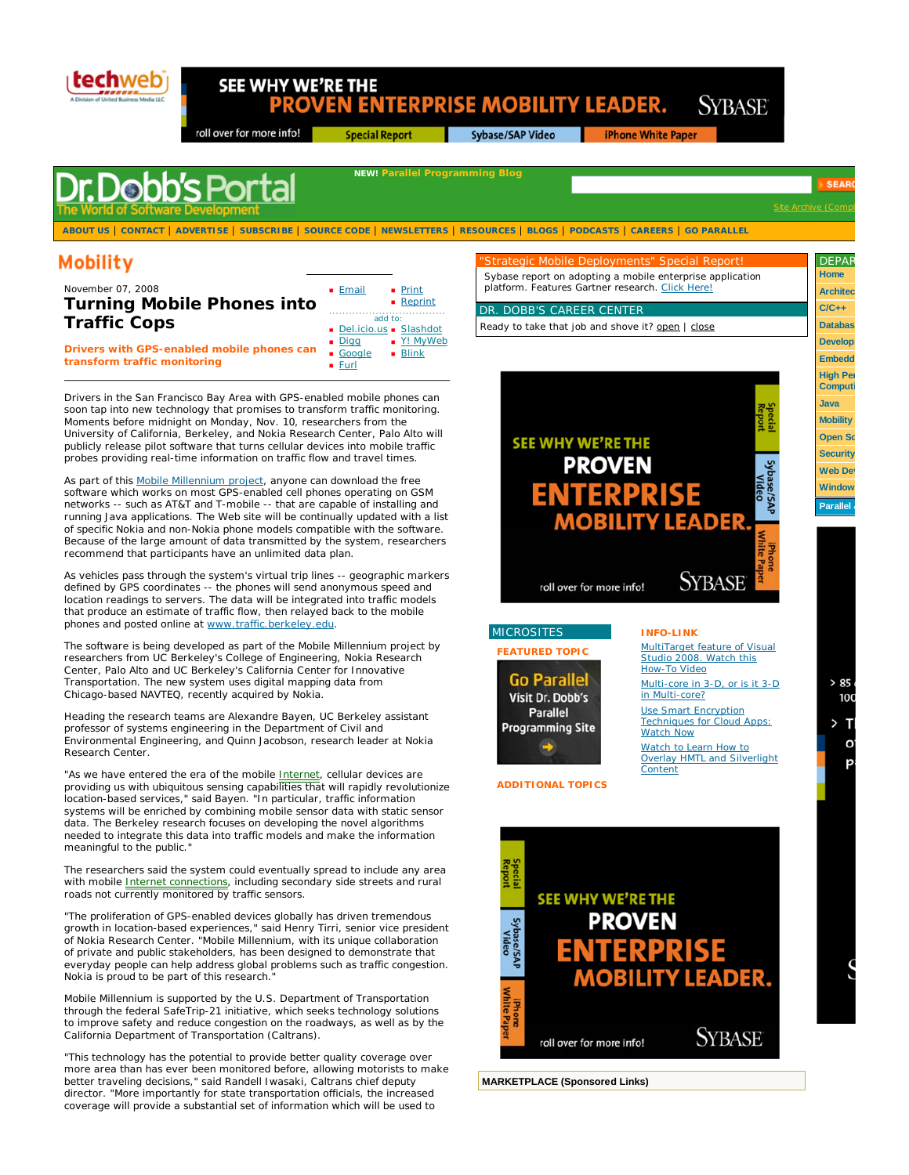

## SEE WHY WE'RE THE **PROVEN ENTERPRISE MOBILITY LEADER.**

**Special Report** 

roll over for more info!

Sybase/SAP Video

**iPhone White Paper** 

Sybase report on adopting a mobile enterprise application platform. Features Gartner research. Click Here!

"Strategic Mobile Deployments" Special Report!

Ready to take that job and shove it? open | close

DR. DOBB'S CAREER CENTER

**SYBASE** 

# **Dobb's Por**

**ABOUT US** | **CONTACT** | **ADVERTISE** | **SUBSCRIBE** | **SOURCE CODE** | **NEWSLETTERS** | **RESOURCES** | **BLOGS** | **PODCASTS** | **CAREERS** | **GO PARALLEL**

**NEW! Parallel Programming Blog**

### Mobility

| November 07, 2008<br><b>Turning Mobile Phones into</b>                     | $\blacksquare$ Email                                 | $\blacksquare$ Print<br>$\blacksquare$ Reprint |
|----------------------------------------------------------------------------|------------------------------------------------------|------------------------------------------------|
| <b>Traffic Cops</b>                                                        | add to:<br>Del.icio.us Slashdot                      |                                                |
| Drivers with GPS-enabled mobile phones can<br>transform traffic monitoring | $\blacksquare$ Digg<br>Google<br>$\blacksquare$ Furl | ■ Y! MyWeb<br>$\blacksquare$ Blink             |

Drivers in the San Francisco Bay Area with GPS-enabled mobile phones can soon tap into new technology that promises to transform traffic monitoring. Moments before midnight on Monday, Nov. 10, researchers from the University of California, Berkeley, and Nokia Research Center, Palo Alto will

publicly release pilot software that turns cellular devices into mobile traffic probes providing real-time information on traffic flow and travel times. As part of this **Mobile Millennium project**, anyone can download the free

software which works on most GPS-enabled cell phones operating on GSM networks -- such as AT&T and T-mobile -- that are capable of installing and running Java applications. The Web site will be continually updated with a list of specific Nokia and non-Nokia phone models compatible with the software. Because of the large amount of data transmitted by the system, researchers recommend that participants have an unlimited data plan.

As vehicles pass through the system's virtual trip lines -- geographic markers defined by GPS coordinates -- the phones will send anonymous speed and location readings to servers. The data will be integrated into traffic models that produce an estimate of traffic flow, then relayed back to the mobile phones and posted online at www.traffic.berkeley.edu.

The software is being developed as part of the Mobile Millennium project by researchers from UC Berkeley's College of Engineering, Nokia Research Center, Palo Alto and UC Berkeley's California Center for Innovative Transportation. The new system uses digital mapping data from Chicago-based NAVTEQ, recently acquired by Nokia.

Heading the research teams are Alexandre Bayen, UC Berkeley assistant professor of systems engineering in the Department of Civil and Environmental Engineering, and Quinn Jacobson, research leader at Nokia Research Center.

"As we have entered the era of the mobile Internet, cellular devices are providing us with ubiquitous sensing capabilities that will rapidly revolutionize location-based services," said Bayen. "In particular, traffic information systems will be enriched by combining mobile sensor data with static sensor data. The Berkeley research focuses on developing the novel algorithms needed to integrate this data into traffic models and make the information meaningful to the public.

The researchers said the system could eventually spread to include any area with mobile *Internet connections*, including secondary side streets and rural roads not currently monitored by traffic sensors.

"The proliferation of GPS-enabled devices globally has driven tremendous growth in location-based experiences," said Henry Tirri, senior vice president of Nokia Research Center. "Mobile Millennium, with its unique collaboration of private and public stakeholders, has been designed to demonstrate that everyday people can help address global problems such as traffic congestion. Nokia is proud to be part of this research."

Mobile Millennium is supported by the U.S. Department of Transportation through the federal SafeTrip-21 initiative, which seeks technology solutions to improve safety and reduce congestion on the roadways, as well as by the California Department of Transportation (Caltrans).

"This technology has the potential to provide better quality coverage over more area than has ever been monitored before, allowing motorists to make better traveling decisions," said Randell Iwasaki, Caltrans chief deputy director. "More importantly for state transportation officials, the increased coverage will provide a substantial set of information which will be used to







#### **INFO-LINK**

MultiTarget feature of Visual Studio 2008. Watch this How-To Video Multi-core in 3-D, or is it 3-D in Multi-core? Use Smart Encryption Techniques for Cloud Apps: Watch Now Watch to Learn How to Overlay HMTL and Silverlight Content

**ADDITIONAL TOPICS**



**MARKETPLACE (Sponsored Links)**

**Site Archive (Compl** 

**Home Architec C/C++ Databas Develop Embedd High Per Computi Java Mobility Open So Security Web Dev**

**DEPAF** 

**SEA**